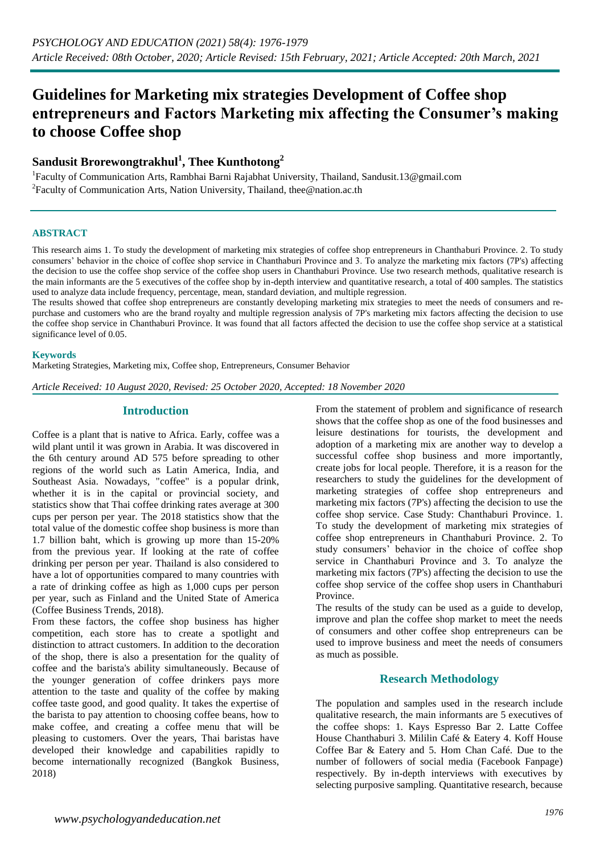# **Guidelines for Marketing mix strategies Development of Coffee shop entrepreneurs and Factors Marketing mix affecting the Consumer's making to choose Coffee shop**

# **Sandusit Brorewongtrakhul<sup>1</sup> , Thee Kunthotong<sup>2</sup>**

<sup>1</sup>Faculty of Communication Arts, Rambhai Barni Rajabhat University, Thailand, Sandusit.13@gmail.com <sup>2</sup> Faculty of Communication Arts, Nation University, Thailand, thee @nation.ac.th

#### **ABSTRACT**

This research aims 1. To study the development of marketing mix strategies of coffee shop entrepreneurs in Chanthaburi Province. 2. To study consumers' behavior in the choice of coffee shop service in Chanthaburi Province and 3. To analyze the marketing mix factors (7P's) affecting the decision to use the coffee shop service of the coffee shop users in Chanthaburi Province. Use two research methods, qualitative research is the main informants are the 5 executives of the coffee shop by in-depth interview and quantitative research, a total of 400 samples. The statistics used to analyze data include frequency, percentage, mean, standard deviation, and multiple regression.

The results showed that coffee shop entrepreneurs are constantly developing marketing mix strategies to meet the needs of consumers and repurchase and customers who are the brand royalty and multiple regression analysis of 7P's marketing mix factors affecting the decision to use the coffee shop service in Chanthaburi Province. It was found that all factors affected the decision to use the coffee shop service at a statistical significance level of 0.05.

#### **Keywords**

Marketing Strategies, Marketing mix, Coffee shop, Entrepreneurs, Consumer Behavior

*Article Received: 10 August 2020, Revised: 25 October 2020, Accepted: 18 November 2020*

#### **Introduction**

Coffee is a plant that is native to Africa. Early, coffee was a wild plant until it was grown in Arabia. It was discovered in the 6th century around AD 575 before spreading to other regions of the world such as Latin America, India, and Southeast Asia. Nowadays, "coffee" is a popular drink, whether it is in the capital or provincial society, and statistics show that Thai coffee drinking rates average at 300 cups per person per year. The 2018 statistics show that the total value of the domestic coffee shop business is more than 1.7 billion baht, which is growing up more than 15-20% from the previous year. If looking at the rate of coffee drinking per person per year. Thailand is also considered to have a lot of opportunities compared to many countries with a rate of drinking coffee as high as 1,000 cups per person per year, such as Finland and the United State of America (Coffee Business Trends, 2018).

From these factors, the coffee shop business has higher competition, each store has to create a spotlight and distinction to attract customers. In addition to the decoration of the shop, there is also a presentation for the quality of coffee and the barista's ability simultaneously. Because of the younger generation of coffee drinkers pays more attention to the taste and quality of the coffee by making coffee taste good, and good quality. It takes the expertise of the barista to pay attention to choosing coffee beans, how to make coffee, and creating a coffee menu that will be pleasing to customers. Over the years, Thai baristas have developed their knowledge and capabilities rapidly to become internationally recognized (Bangkok Business, 2018)

From the statement of problem and significance of research shows that the coffee shop as one of the food businesses and leisure destinations for tourists, the development and adoption of a marketing mix are another way to develop a successful coffee shop business and more importantly, create jobs for local people. Therefore, it is a reason for the researchers to study the guidelines for the development of marketing strategies of coffee shop entrepreneurs and marketing mix factors (7P's) affecting the decision to use the coffee shop service. Case Study: Chanthaburi Province. 1. To study the development of marketing mix strategies of coffee shop entrepreneurs in Chanthaburi Province. 2. To study consumers' behavior in the choice of coffee shop service in Chanthaburi Province and 3. To analyze the marketing mix factors (7P's) affecting the decision to use the coffee shop service of the coffee shop users in Chanthaburi Province.

The results of the study can be used as a guide to develop, improve and plan the coffee shop market to meet the needs of consumers and other coffee shop entrepreneurs can be used to improve business and meet the needs of consumers as much as possible.

#### **Research Methodology**

The population and samples used in the research include qualitative research, the main informants are 5 executives of the coffee shops: 1. Kays Espresso Bar 2. Latte Coffee House Chanthaburi 3. Mililin Café & Eatery 4. Koff House Coffee Bar & Eatery and 5. Hom Chan Café. Due to the number of followers of social media (Facebook Fanpage) respectively. By in-depth interviews with executives by selecting purposive sampling. Quantitative research, because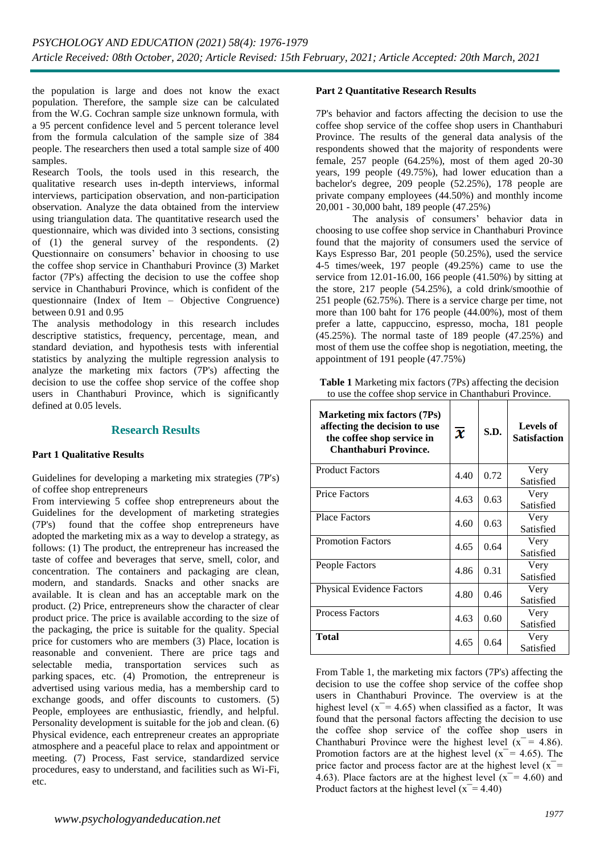the population is large and does not know the exact population. Therefore, the sample size can be calculated from the W.G. Cochran sample size unknown formula, with a 95 percent confidence level and 5 percent tolerance level from the formula calculation of the sample size of 384 people. The researchers then used a total sample size of 400 samples.

Research Tools, the tools used in this research, the qualitative research uses in-depth interviews, informal interviews, participation observation, and non-participation observation. Analyze the data obtained from the interview using triangulation data. The quantitative research used the questionnaire, which was divided into 3 sections, consisting of (1) the general survey of the respondents. (2) Questionnaire on consumers' behavior in choosing to use the coffee shop service in Chanthaburi Province (3) Market factor (7P's) affecting the decision to use the coffee shop service in Chanthaburi Province, which is confident of the questionnaire (Index of Item – Objective Congruence) between 0.91 and 0.95

The analysis methodology in this research includes descriptive statistics, frequency, percentage, mean, and standard deviation, and hypothesis tests with inferential statistics by analyzing the multiple regression analysis to analyze the marketing mix factors (7P's) affecting the decision to use the coffee shop service of the coffee shop users in Chanthaburi Province, which is significantly defined at 0.05 levels.

#### **Research Results**

#### **Part 1 Qualitative Results**

Guidelines for developing a marketing mix strategies (7P's) of coffee shop entrepreneurs

From interviewing 5 coffee shop entrepreneurs about the Guidelines for the development of marketing strategies (7P's) found that the coffee shop entrepreneurs have adopted the marketing mix as a way to develop a strategy, as follows: (1) The product, the entrepreneur has increased the taste of coffee and beverages that serve, smell, color, and concentration. The containers and packaging are clean, modern, and standards. Snacks and other snacks are available. It is clean and has an acceptable mark on the product. (2) Price, entrepreneurs show the character of clear product price. The price is available according to the size of the packaging, the price is suitable for the quality. Special price for customers who are members (3) Place, location is reasonable and convenient. There are price tags and selectable media, transportation services such as parking spaces, etc. (4) Promotion, the entrepreneur is advertised using various media, has a membership card to exchange goods, and offer discounts to customers. (5) People, employees are enthusiastic, friendly, and helpful. Personality development is suitable for the job and clean. (6) Physical evidence, each entrepreneur creates an appropriate atmosphere and a peaceful place to relax and appointment or meeting. (7) Process, Fast service, standardized service procedures, easy to understand, and facilities such as Wi-Fi, etc.

#### **Part 2 Quantitative Research Results**

7P's behavior and factors affecting the decision to use the coffee shop service of the coffee shop users in Chanthaburi Province. The results of the general data analysis of the respondents showed that the majority of respondents were female, 257 people (64.25%), most of them aged 20-30 years, 199 people (49.75%), had lower education than a bachelor's degree, 209 people (52.25%), 178 people are private company employees (44.50%) and monthly income 20,001 - 30,000 baht, 189 people (47.25%)

The analysis of consumers' behavior data in choosing to use coffee shop service in Chanthaburi Province found that the majority of consumers used the service of Kays Espresso Bar, 201 people (50.25%), used the service 4-5 times/week, 197 people (49.25%) came to use the service from 12.01-16.00, 166 people (41.50%) by sitting at the store, 217 people (54.25%), a cold drink/smoothie of 251 people (62.75%). There is a service charge per time, not more than 100 baht for 176 people (44.00%), most of them prefer a latte, cappuccino, espresso, mocha, 181 people (45.25%). The normal taste of 189 people (47.25%) and most of them use the coffee shop is negotiation, meeting, the appointment of 191 people (47.75%)

| <b>Table 1</b> Marketing mix factors (7Ps) affecting the decision |  |
|-------------------------------------------------------------------|--|
| to use the coffee shop service in Chanthaburi Province.           |  |

| Marketing mix factors (7Ps)<br>affecting the decision to use<br>the coffee shop service in<br><b>Chanthaburi Province.</b> | $\overline{\mathbf{x}}$ | S.D. | <b>Levels of</b><br><b>Satisfaction</b> |  |
|----------------------------------------------------------------------------------------------------------------------------|-------------------------|------|-----------------------------------------|--|
| <b>Product Factors</b>                                                                                                     | 4.40                    | 0.72 | Very<br>Satisfied                       |  |
| <b>Price Factors</b>                                                                                                       | 4.63                    | 0.63 | Very<br>Satisfied                       |  |
| <b>Place Factors</b>                                                                                                       | 4.60                    | 0.63 | Very<br>Satisfied                       |  |
| <b>Promotion Factors</b>                                                                                                   | 4.65                    | 0.64 | Very<br>Satisfied                       |  |
| People Factors                                                                                                             | 4.86                    | 0.31 | Very<br>Satisfied                       |  |
| <b>Physical Evidence Factors</b>                                                                                           | 4.80                    | 0.46 | Very<br>Satisfied                       |  |
| <b>Process Factors</b>                                                                                                     | 4.63                    | 0.60 | Very<br>Satisfied                       |  |
| Total                                                                                                                      | 4.65                    | 0.64 | Very<br>Satisfied                       |  |

From Table 1, the marketing mix factors (7P's) affecting the decision to use the coffee shop service of the coffee shop users in Chanthaburi Province. The overview is at the highest level  $(x = 4.65)$  when classified as a factor, It was found that the personal factors affecting the decision to use the coffee shop service of the coffee shop users in Chanthaburi Province were the highest level  $(x = 4.86)$ . Promotion factors are at the highest level ( $x = 4.65$ ). The price factor and process factor are at the highest level  $(x^-$ 4.63). Place factors are at the highest level  $(x = 4.60)$  and Product factors at the highest level  $(x = 4.40)$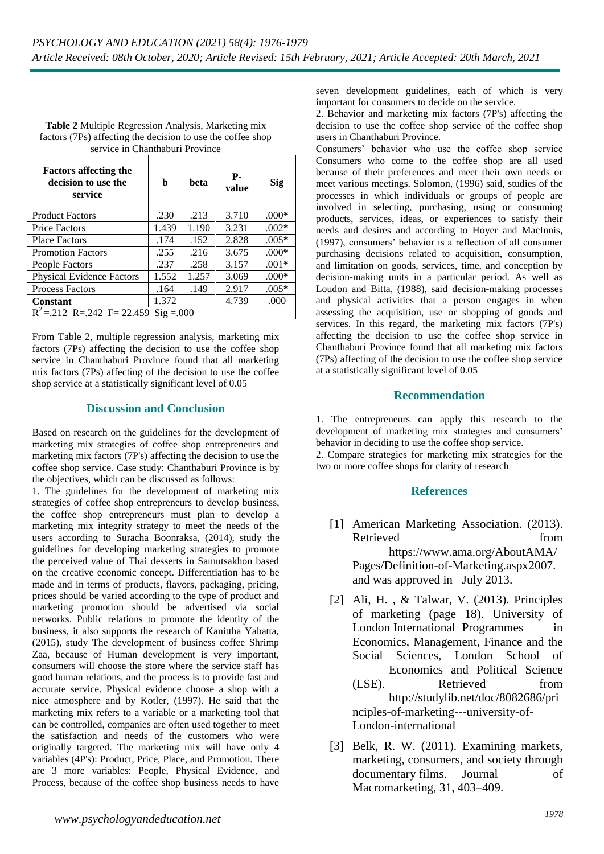| Table 2 Multiple Regression Analysis, Marketing mix         |
|-------------------------------------------------------------|
| factors (7Ps) affecting the decision to use the coffee shop |
| service in Chanthaburi Province                             |

| <b>Factors affecting the</b><br>decision to use the<br>service | b     | beta  | <b>P</b> -<br>value | Sig     |  |  |  |
|----------------------------------------------------------------|-------|-------|---------------------|---------|--|--|--|
| <b>Product Factors</b>                                         | .230  | .213  | 3.710               | $.000*$ |  |  |  |
| <b>Price Factors</b>                                           | 1.439 | 1.190 | 3.231               | $.002*$ |  |  |  |
| <b>Place Factors</b>                                           | .174  | .152  | 2.828               | $.005*$ |  |  |  |
| <b>Promotion Factors</b>                                       | .255  | .216  | 3.675               | $.000*$ |  |  |  |
| People Factors                                                 | .237  | .258  | 3.157               | $.001*$ |  |  |  |
| <b>Physical Evidence Factors</b>                               | 1.552 | 1.257 | 3.069               | $.000*$ |  |  |  |
| <b>Process Factors</b>                                         | .164  | .149  | 2.917               | $.005*$ |  |  |  |
| <b>Constant</b>                                                | 1.372 |       | 4.739               | .000    |  |  |  |
| $R^2 = .212$ R= 242 F= 22.459<br>$\text{Sig} = 0.00$           |       |       |                     |         |  |  |  |

From Table 2, multiple regression analysis, marketing mix factors (7Ps) affecting the decision to use the coffee shop service in Chanthaburi Province found that all marketing mix factors (7Ps) affecting of the decision to use the coffee shop service at a statistically significant level of 0.05

## **Discussion and Conclusion**

Based on research on the guidelines for the development of marketing mix strategies of coffee shop entrepreneurs and marketing mix factors (7P's) affecting the decision to use the coffee shop service. Case study: Chanthaburi Province is by the objectives, which can be discussed as follows:

1. The guidelines for the development of marketing mix strategies of coffee shop entrepreneurs to develop business, the coffee shop entrepreneurs must plan to develop a marketing mix integrity strategy to meet the needs of the users according to Suracha Boonraksa, (2014), study the guidelines for developing marketing strategies to promote the perceived value of Thai desserts in Samutsakhon based on the creative economic concept. Differentiation has to be made and in terms of products, flavors, packaging, pricing, prices should be varied according to the type of product and marketing promotion should be advertised via social networks. Public relations to promote the identity of the business, it also supports the research of Kanittha Yahatta, (2015), study The development of business coffee Shrimp Zaa, because of Human development is very important, consumers will choose the store where the service staff has good human relations, and the process is to provide fast and accurate service. Physical evidence choose a shop with a nice atmosphere and by Kotler, (1997). He said that the marketing mix refers to a variable or a marketing tool that can be controlled, companies are often used together to meet the satisfaction and needs of the customers who were originally targeted. The marketing mix will have only 4 variables (4P's): Product, Price, Place, and Promotion. There are 3 more variables: People, Physical Evidence, and Process, because of the coffee shop business needs to have

seven development guidelines, each of which is very important for consumers to decide on the service.

2. Behavior and marketing mix factors (7P's) affecting the decision to use the coffee shop service of the coffee shop users in Chanthaburi Province.

Consumers' behavior who use the coffee shop service Consumers who come to the coffee shop are all used because of their preferences and meet their own needs or meet various meetings. Solomon, (1996) said, studies of the processes in which individuals or groups of people are involved in selecting, purchasing, using or consuming products, services, ideas, or experiences to satisfy their needs and desires and according to Hoyer and MacInnis, (1997), consumers' behavior is a reflection of all consumer purchasing decisions related to acquisition, consumption, and limitation on goods, services, time, and conception by decision-making units in a particular period. As well as Loudon and Bitta, (1988), said decision-making processes and physical activities that a person engages in when assessing the acquisition, use or shopping of goods and services. In this regard, the marketing mix factors (7P's) affecting the decision to use the coffee shop service in Chanthaburi Province found that all marketing mix factors (7Ps) affecting of the decision to use the coffee shop service at a statistically significant level of 0.05

## **Recommendation**

1. The entrepreneurs can apply this research to the development of marketing mix strategies and consumers' behavior in deciding to use the coffee shop service. 2. Compare strategies for marketing mix strategies for the

two or more coffee shops for clarity of research

# **References**

- [1] American Marketing Association. (2013). Retrieved from https://www.ama.org/AboutAMA/ Pages/Definition-of-Marketing.aspx2007. and was approved in July 2013.
- [2] Ali, H. , & Talwar, V. (2013). Principles of marketing (page 18). University of London International Programmes in Economics, Management, Finance and the Social Sciences, London School of Economics and Political Science (LSE). Retrieved from http://studylib.net/doc/8082686/pri nciples-of-marketing---university-of-London-international
- [3] Belk, R. W. (2011). Examining markets, marketing, consumers, and society through documentary films. Journal of Macromarketing, 31, 403–409.